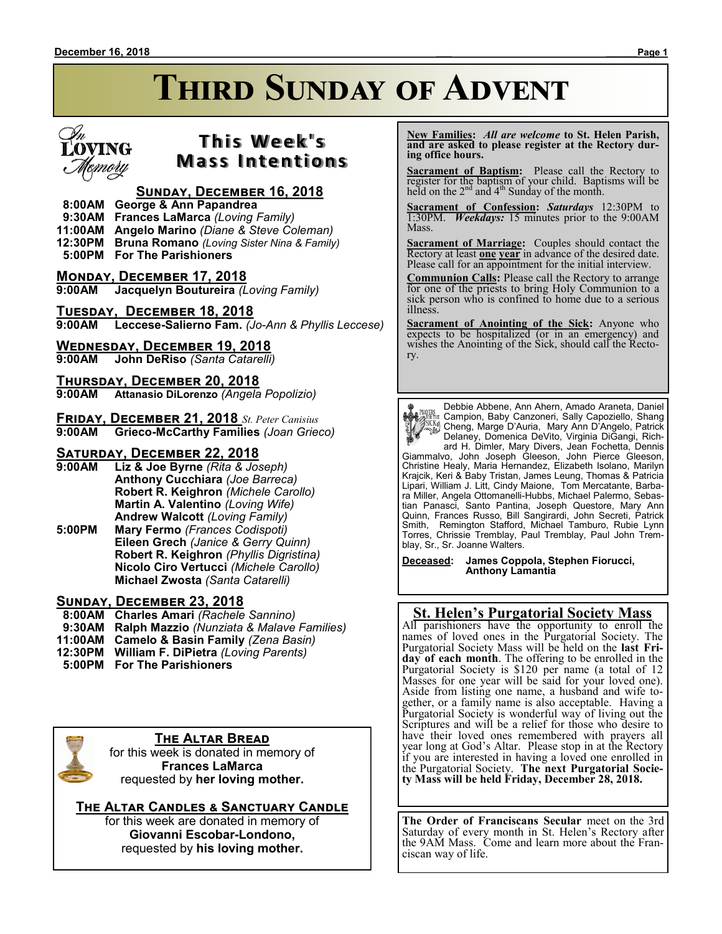# **THIRD SUNDAY OF ADVENT**



# **T h i s We e k ' s Mass Intentions**

### **Sunday, December 16, 2018**

- **8:00AM George & Ann Papandrea**
- **9:30AM Frances LaMarca** *(Loving Family)*
- **11:00AM Angelo Marino** *(Diane & Steve Coleman)*
- **12:30PM Bruna Romano** *(Loving Sister Nina & Family)*
- **5:00PM For The Parishioners**
- **Monday, December 17, 2018**
- **9:00AM Jacquelyn Boutureira** *(Loving Family)*
- **Tuesday, December 18, 2018 9:00AM Leccese-Salierno Fam.** *(Jo-Ann & Phyllis Leccese)*

#### **Wednesday, December 19, 2018**

**9:00AM John DeRiso** *(Santa Catarelli)*

**Thursday, December 20, 2018 9:00AM Attanasio DiLorenzo** *(Angela Popolizio)*

**Friday, December 21, 2018** *St. Peter Canisius* **9:00AM Grieco-McCarthy Families** *(Joan Grieco)*

#### **Saturday, December 22, 2018**

- **9:00AM Liz & Joe Byrne** *(Rita & Joseph)* **Anthony Cucchiara** *(Joe Barreca)* **Robert R. Keighron** *(Michele Carollo)* **Martin A. Valentino** *(Loving Wife)* **Andrew Walcott** *(Loving Family)*
- **5:00PM Mary Fermo** *(Frances Codispoti)* **Eileen Grech** *(Janice & Gerry Quinn)* **Robert R. Keighron** *(Phyllis Digristina)* **Nicolo Ciro Vertucci** *(Michele Carollo)* **Michael Zwosta** *(Santa Catarelli)*

#### **Sunday, December 23, 2018**

- **8:00AM Charles Amari** *(Rachele Sannino)*  **9:30AM Ralph Mazzio** *(Nunziata & Malave Families)* **11:00AM Camelo & Basin Family** *(Zena Basin)* **12:30PM William F. DiPietra** *(Loving Parents)*
- **5:00PM For The Parishioners**



#### **The Altar Bread**

for this week is donated in memory of **Frances LaMarca** requested by **her loving mother.**

**The Altar Candles & Sanctuary Candle** for this week are donated in memory of

**Giovanni Escobar-Londono,** requested by **his loving mother.**

 **New Families:** *All are welcome* **to St. Helen Parish, and are asked to please register at the Rectory during office hours.**

**Sacrament of Baptism:** Please call the Rectory to register for the baptism of your child. Baptisms will be held on the  $2<sup>nd</sup>$  and  $4<sup>th</sup>$  Sunday of the month.

**Sacrament of Confession:** *Saturdays* 12:30PM to 1:30PM. *Weekdays:* 15 minutes prior to the 9:00AM Mass.

**Sacrament of Marriage:**Couples should contact the Rectory at least **one year** in advance of the desired date. Please call for an appointment for the initial interview.

**Communion Calls:** Please call the Rectory to arrange for one of the priests to bring Holy Communion to a sick person who is confined to home due to a serious illness.

**Sacrament of Anointing of the Sick:** Anyone who expects to be hospitalized (or in an emergency) and wishes the Anointing of the Sick, should call the Rectory.

Debbie Abbene, Ann Ahern, Amado Araneta, Daniel Campion, Baby Canzoneri, Sally Capoziello, Shang Cheng, Marge D'Auria, Mary Ann D'Angelo, Patrick Delaney, Domenica DeVito, Virginia DiGangi, Rich-

ard H. Dimler, Mary Divers, Jean Fochetta, Dennis Giammalvo, John Joseph Gleeson, John Pierce Gleeson, Christine Healy, Maria Hernandez, Elizabeth Isolano, Marilyn Krajcik, Keri & Baby Tristan, James Leung, Thomas & Patricia Lipari, William J. Litt, Cindy Maione, Tom Mercatante, Barbara Miller, Angela Ottomanelli-Hubbs, Michael Palermo, Sebastian Panasci, Santo Pantina, Joseph Questore, Mary Ann Quinn, Frances Russo, Bill Sangirardi, John Secreti, Patrick Smith, Remington Stafford, Michael Tamburo, Rubie Lynn Torres, Chrissie Tremblay, Paul Tremblay, Paul John Tremblay, Sr., Sr. Joanne Walters.

**Deceased: James Coppola, Stephen Fiorucci, Anthony Lamantia**

### **St. Helen's Purgatorial Society Mass**

All parishioners have the opportunity to enroll the names of loved ones in the Purgatorial Society. The Purgatorial Society Mass will be held on the **last Friday of each month**. The offering to be enrolled in the Purgatorial Society is \$120 per name (a total of 12 Masses for one year will be said for your loved one). Aside from listing one name, a husband and wife together, or a family name is also acceptable. Having a Purgatorial Society is wonderful way of living out the Scriptures and will be a relief for those who desire to have their loved ones remembered with prayers all year long at God's Altar. Please stop in at the Rectory if you are interested in having a loved one enrolled in the Purgatorial Society. **The next Purgatorial Society Mass will be held Friday, December 28, 2018.**

**The Order of Franciscans Secular** meet on the 3rd Saturday of every month in St. Helen's Rectory after the 9AM Mass. Come and learn more about the Franciscan way of life.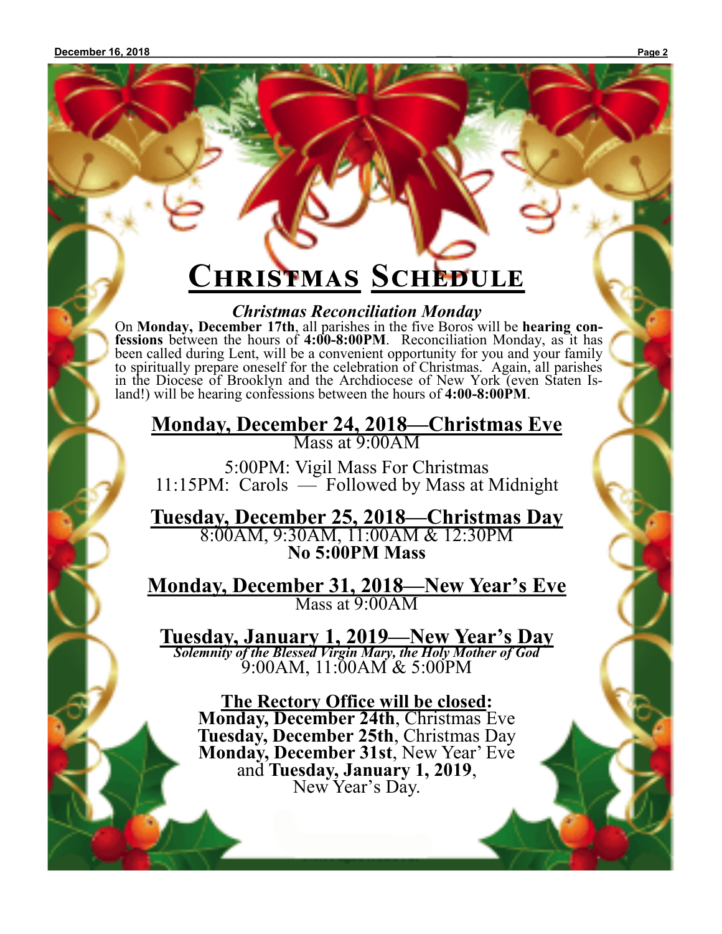# **Christmas Schedule**

*Christmas Reconciliation Monday*

On **Monday, December 17th**, all parishes in the five Boros will be **hearing confessions** between the hours of **4:00-8:00PM**. Reconciliation Monday, as it has been called during Lent, will be a convenient opportunity for you and your family to spiritually prepare oneself for the celebration of Christmas. Again, all parishes in the Diocese of Brooklyn and the Archdiocese of New York (even Staten Island!) will be hearing confessions between the hours of **4:00-8:00PM**.

**Monday, December 24, 2018—Christmas Eve** Mass at 9:00AM

5:00PM: Vigil Mass For Christmas 11:15PM: Carols — Followed by Mass at Midnight

**Tuesday, December 25, 2018—Christmas Day** 8:00AM, 9:30AM, 11:00AM & 12:30PM **No 5:00PM Mass**

**Monday, December 31, 2018—New Year's Eve** Mass at 9:00AM

**Tuesday, January 1, 2019—New Year's Day** *Solemnity of the Blessed Virgin Mary, the Holy Mother of God*  9:00AM, 11:00AM & 5:00PM

**The Rectory Office will be closed: Monday, December 24th**, Christmas Eve **Tuesday, December 25th**, Christmas Day **Monday, December 31st**, New Year' Eve and **Tuesday, January 1, 2019**, New Year's Day.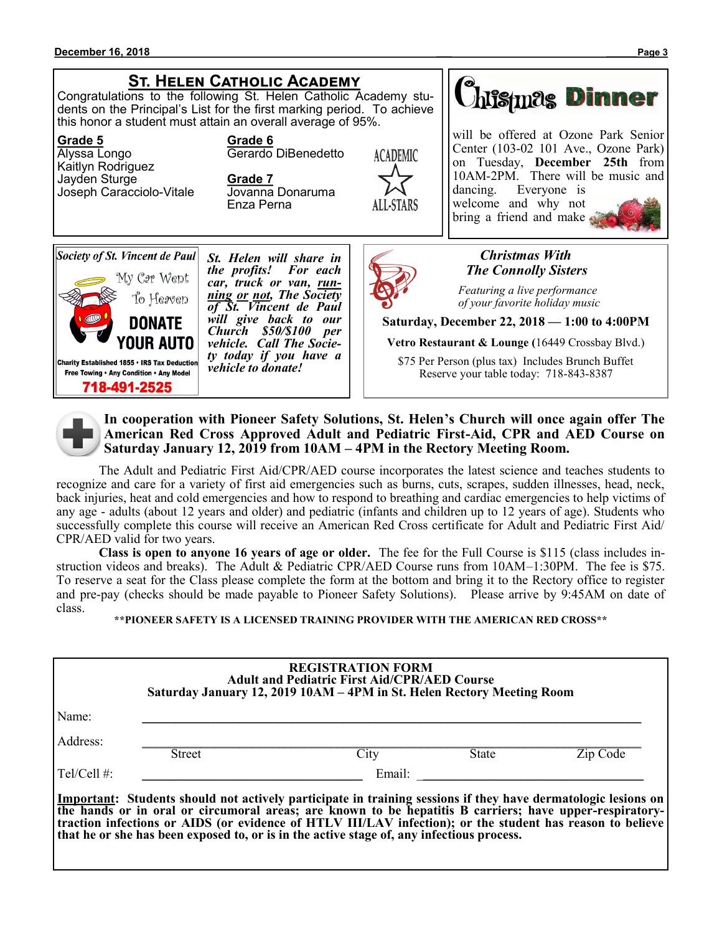### **St. Helen Catholic Academy**

Congratulations to the following St. Helen Catholic Academy students on the Principal's List for the first marking period. To achieve this honor a student must attain an overall average of 95%.

#### **Grade 5 Grade 6**

Alyssa Longo **Gerardo** DiBenedetto Kaitlyn Rodriguez Jayden Sturge **Grade 7** Joseph Caracciolo-Vitale

Enza Perna





*St. Helen will share in the profits! For each car, truck or van, running or not, The Society of St. Vincent de Paul will give back to our Church \$50/\$100 per vehicle. Call The Society today if you have a vehicle to donate!*



will be offered at Ozone Park Senior Center (103-02 101 Ave., Ozone Park) on Tuesday, **December 25th** from 10AM-2PM. There will be music and dancing. Everyone is welcome and why not bring a friend and make



#### *Christmas With The Connolly Sisters*

 *Featuring a live performance of your favorite holiday music*

**Saturday, December 22, 2018 — 1:00 to 4:00PM**

**Vetro Restaurant & Lounge (**16449 Crossbay Blvd.)

\$75 Per Person (plus tax) Includes Brunch Buffet Reserve your table today: 718-843-8387



**In cooperation with Pioneer Safety Solutions, St. Helen's Church will once again offer The American Red Cross Approved Adult and Pediatric First-Aid, CPR and AED Course on Saturday January 12, 2019 from 10AM – 4PM in the Rectory Meeting Room.**

The Adult and Pediatric First Aid/CPR/AED course incorporates the latest science and teaches students to recognize and care for a variety of first aid emergencies such as burns, cuts, scrapes, sudden illnesses, head, neck, back injuries, heat and cold emergencies and how to respond to breathing and cardiac emergencies to help victims of any age - adults (about 12 years and older) and pediatric (infants and children up to 12 years of age). Students who successfully complete this course will receive an American Red Cross certificate for Adult and Pediatric First Aid/ CPR/AED valid for two years.

**Class is open to anyone 16 years of age or older.** The fee for the Full Course is \$115 (class includes instruction videos and breaks). The Adult & Pediatric CPR/AED Course runs from 10AM–1:30PM. The fee is \$75. To reserve a seat for the Class please complete the form at the bottom and bring it to the Rectory office to register and pre-pay (checks should be made payable to Pioneer Safety Solutions). Please arrive by 9:45AM on date of class.

**\*\*PIONEER SAFETY IS A LICENSED TRAINING PROVIDER WITH THE AMERICAN RED CROSS\*\***

|               |        | Saturday January 12, 2019 10AM – 4PM in St. Helen Rectory Meeting Room                                                        |
|---------------|--------|-------------------------------------------------------------------------------------------------------------------------------|
|               |        |                                                                                                                               |
| <b>Street</b> | City   | Zip Code                                                                                                                      |
|               | Email: |                                                                                                                               |
|               |        | <b>State</b><br>Important: Students should not actively participate in training sessions if they have dermatologic lesions on |

**traction infections or AIDS (or evidence of HTLV III/LAV infection); or the student has reason to believe that he or she has been exposed to, or is in the active stage of, any infectious process.**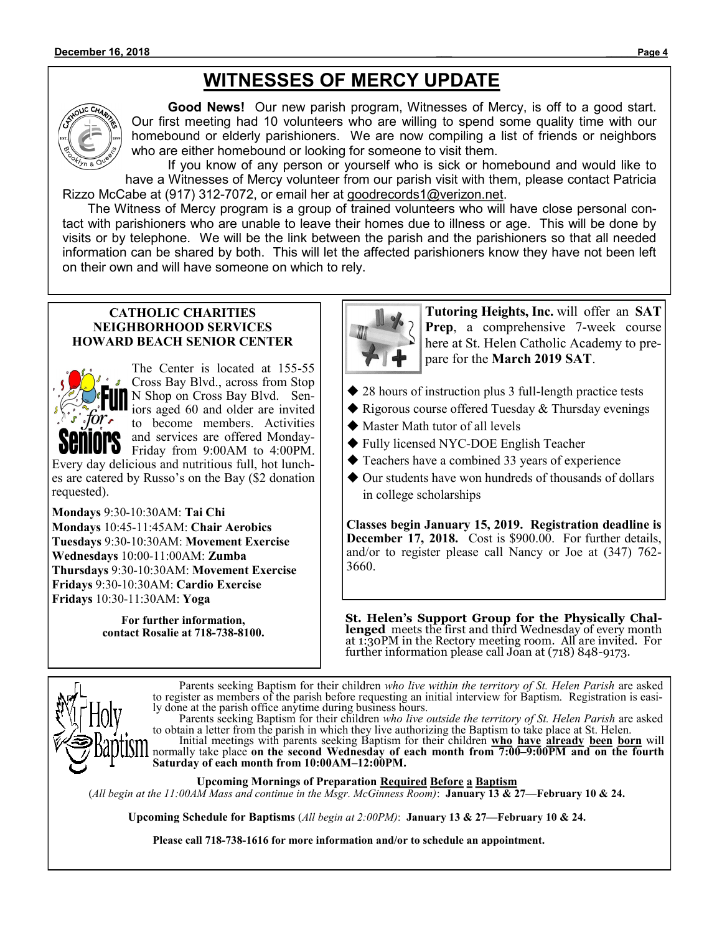# **WITNESSES OF MERCY UPDATE**



**Good News!** Our new parish program, Witnesses of Mercy, is off to a good start. Our first meeting had 10 volunteers who are willing to spend some quality time with our homebound or elderly parishioners. We are now compiling a list of friends or neighbors who are either homebound or looking for someone to visit them.

If you know of any person or yourself who is sick or homebound and would like to have a Witnesses of Mercy volunteer from our parish visit with them, please contact Patricia Rizzo McCabe at (917) 312-7072, or email her at goodrecords1@verizon.net.

 The Witness of Mercy program is a group of trained volunteers who will have close personal contact with parishioners who are unable to leave their homes due to illness or age. This will be done by visits or by telephone. We will be the link between the parish and the parishioners so that all needed information can be shared by both. This will let the affected parishioners know they have not been left on their own and will have someone on which to rely.

#### **CATHOLIC CHARITIES NEIGHBORHOOD SERVICES HOWARD BEACH SENIOR CENTER**



The Center is located at 155-55 Cross Bay Blvd., across from Stop N Shop on Cross Bay Blvd. Seniors aged 60 and older are invited to become members. Activities and services are offered Monday-Friday from 9:00AM to 4:00PM.

Every day delicious and nutritious full, hot lunches are catered by Russo's on the Bay (\$2 donation requested).

**Mondays** 9:30-10:30AM: **Tai Chi Mondays** 10:45-11:45AM: **Chair Aerobics Tuesdays** 9:30-10:30AM: **Movement Exercise Wednesdays** 10:00-11:00AM: **Zumba Thursdays** 9:30-10:30AM: **Movement Exercise Fridays** 9:30-10:30AM: **Cardio Exercise Fridays** 10:30-11:30AM: **Yoga**

> **For further information, contact Rosalie at 718-738-8100.**



**Tutoring Heights, Inc.** will offer an **SAT Prep**, a comprehensive 7-week course here at St. Helen Catholic Academy to prepare for the **March 2019 SAT**.

- ◆ 28 hours of instruction plus 3 full-length practice tests
- ◆ Rigorous course offered Tuesday & Thursday evenings
- ◆ Master Math tutor of all levels
- ◆ Fully licensed NYC-DOE English Teacher
- ◆ Teachers have a combined 33 years of experience
- ◆ Our students have won hundreds of thousands of dollars in college scholarships

**Classes begin January 15, 2019. Registration deadline is December 17, 2018.** Cost is \$900.00. For further details, and/or to register please call Nancy or Joe at (347) 762- 3660.

**St. Helen's Support Group for the Physically Challenged** meets the first and third Wednesday of every month at 1:30PM in the Rectory meeting room. All are invited. For further information please call Joan at (718) 848-9173.



Parents seeking Baptism for their children *who live within the territory of St. Helen Parish* are asked to register as members of the parish before requesting an initial interview for Baptism. Registration is easily done at the parish office anytime during business hours.

Parents seeking Baptism for their children *who live outside the territory of St. Helen Parish* are asked to obtain a letter from the parish in which they live authorizing the Baptism to take place at St. Helen. Initial meetings with parents seeking Baptism for their children **who have already been born** will normally take place **on the second Wednesday of each month from 7:00–9:00PM and on the fourth Saturday of each month from 10:00AM–12:00PM.**

**Upcoming Mornings of Preparation Required Before a Baptism**

(*All begin at the 11:00AM Mass and continue in the Msgr. McGinness Room)*: **January 13 & 27—February 10 & 24.**

**Upcoming Schedule for Baptisms** (*All begin at 2:00PM)*: **January 13 & 27—February 10 & 24.**

**Please call 718-738-1616 for more information and/or to schedule an appointment.**